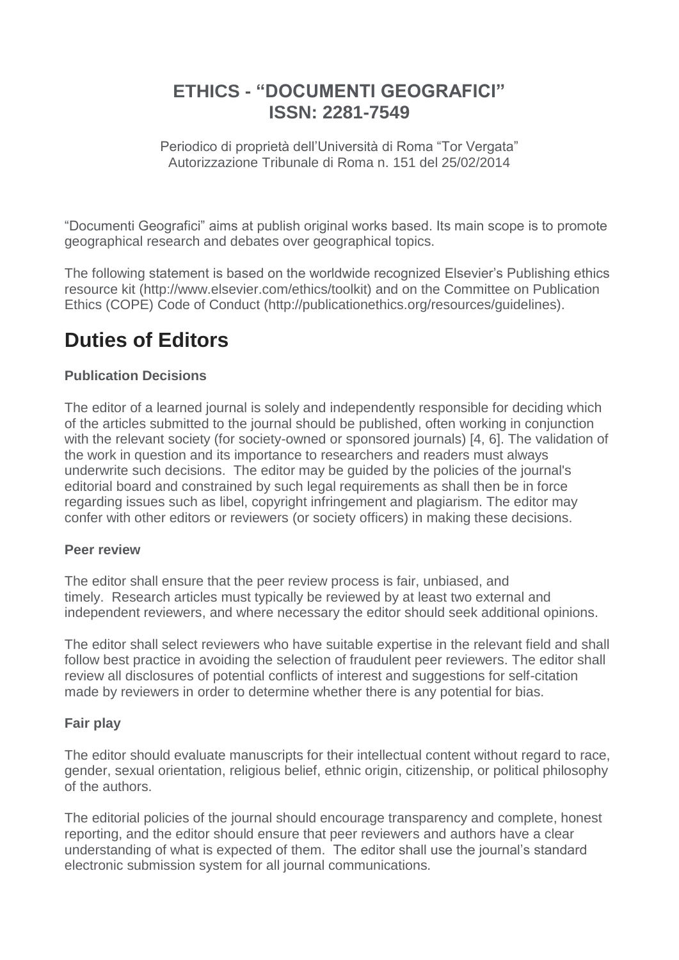# **ETHICS - "DOCUMENTI GEOGRAFICI" ISSN: 2281-7549**

Periodico di proprietà dell'Università di Roma "Tor Vergata" Autorizzazione Tribunale di Roma n. 151 del 25/02/2014

"Documenti Geografici" aims at publish original works based. Its main scope is to promote geographical research and debates over geographical topics.

The following statement is based on the worldwide recognized Elsevier's Publishing ethics resource kit (http://www.elsevier.com/ethics/toolkit) and on the Committee on Publication Ethics (COPE) Code of Conduct (http://publicationethics.org/resources/guidelines).

# **Duties of Editors**

## **Publication Decisions**

The editor of a learned journal is solely and independently responsible for deciding which of the articles submitted to the journal should be published, often working in conjunction with the relevant society (for society-owned or sponsored journals) [4, 6]. The validation of the work in question and its importance to researchers and readers must always underwrite such decisions. The editor may be guided by the policies of the journal's editorial board and constrained by such legal requirements as shall then be in force regarding issues such as libel, copyright infringement and plagiarism. The editor may confer with other editors or reviewers (or society officers) in making these decisions.

### **Peer review**

The editor shall ensure that the peer review process is fair, unbiased, and timely. Research articles must typically be reviewed by at least two external and independent reviewers, and where necessary the editor should seek additional opinions.

The editor shall select reviewers who have suitable expertise in the relevant field and shall follow best practice in avoiding the selection of fraudulent peer reviewers. The editor shall review all disclosures of potential conflicts of interest and suggestions for self-citation made by reviewers in order to determine whether there is any potential for bias.

### **Fair play**

The editor should evaluate manuscripts for their intellectual content without regard to race, gender, sexual orientation, religious belief, ethnic origin, citizenship, or political philosophy of the authors.

The editorial policies of the journal should encourage transparency and complete, honest reporting, and the editor should ensure that peer reviewers and authors have a clear understanding of what is expected of them. The editor shall use the journal's standard electronic submission system for all journal communications.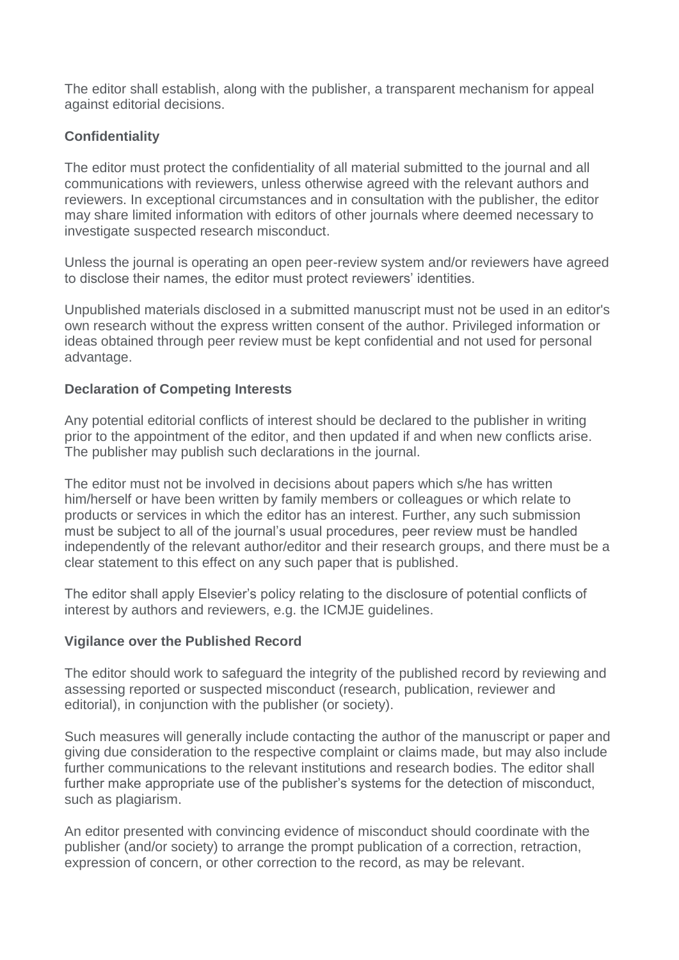The editor shall establish, along with the publisher, a transparent mechanism for appeal against editorial decisions.

## **Confidentiality**

The editor must protect the confidentiality of all material submitted to the journal and all communications with reviewers, unless otherwise agreed with the relevant authors and reviewers. In exceptional circumstances and in consultation with the publisher, the editor may share limited information with editors of other journals where deemed necessary to investigate suspected research misconduct.

Unless the journal is operating an open peer-review system and/or reviewers have agreed to disclose their names, the editor must protect reviewers' identities.

Unpublished materials disclosed in a submitted manuscript must not be used in an editor's own research without the express written consent of the author. Privileged information or ideas obtained through peer review must be kept confidential and not used for personal advantage.

### **Declaration of Competing Interests**

Any potential editorial conflicts of interest should be declared to the publisher in writing prior to the appointment of the editor, and then updated if and when new conflicts arise. The publisher may publish such declarations in the journal.

The editor must not be involved in decisions about papers which s/he has written him/herself or have been written by family members or colleagues or which relate to products or services in which the editor has an interest. Further, any such submission must be subject to all of the journal's usual procedures, peer review must be handled independently of the relevant author/editor and their research groups, and there must be a clear statement to this effect on any such paper that is published.

The editor shall apply Elsevier's policy relating to the disclosure of potential conflicts of interest by authors and reviewers, e.g. the ICMJE guidelines.

#### **Vigilance over the Published Record**

The editor should work to safeguard the integrity of the published record by reviewing and assessing reported or suspected misconduct (research, publication, reviewer and editorial), in conjunction with the publisher (or society).

Such measures will generally include contacting the author of the manuscript or paper and giving due consideration to the respective complaint or claims made, but may also include further communications to the relevant institutions and research bodies. The editor shall further make appropriate use of the publisher's systems for the detection of misconduct, such as plagiarism.

An editor presented with convincing evidence of misconduct should coordinate with the publisher (and/or society) to arrange the prompt publication of a correction, retraction, expression of concern, or other correction to the record, as may be relevant.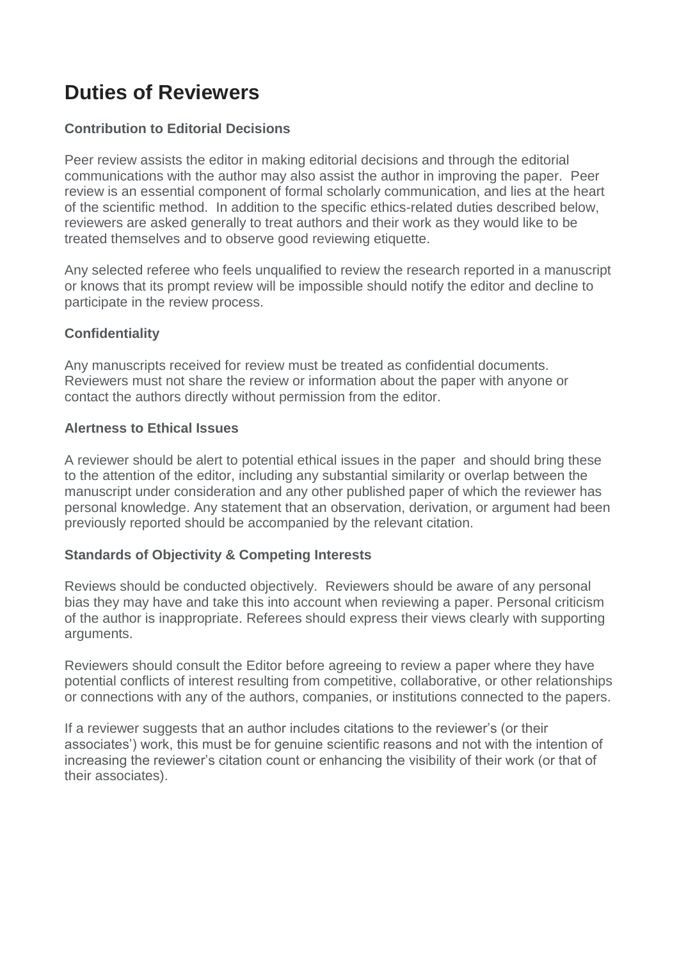# **Duties of Reviewers**

## **Contribution to Editorial Decisions**

Peer review assists the editor in making editorial decisions and through the editorial communications with the author may also assist the author in improving the paper. Peer review is an essential component of formal scholarly communication, and lies at the heart of the scientific method. In addition to the specific ethics-related duties described below, reviewers are asked generally to treat authors and their work as they would like to be treated themselves and to observe good reviewing etiquette.

Any selected referee who feels unqualified to review the research reported in a manuscript or knows that its prompt review will be impossible should notify the editor and decline to participate in the review process.

## **Confidentiality**

Any manuscripts received for review must be treated as confidential documents. Reviewers must not share the review or information about the paper with anyone or contact the authors directly without permission from the editor.

### **Alertness to Ethical Issues**

A reviewer should be alert to potential ethical issues in the paper and should bring these to the attention of the editor, including any substantial similarity or overlap between the manuscript under consideration and any other published paper of which the reviewer has personal knowledge. Any statement that an observation, derivation, or argument had been previously reported should be accompanied by the relevant citation.

### **Standards of Objectivity & Competing Interests**

Reviews should be conducted objectively. Reviewers should be aware of any personal bias they may have and take this into account when reviewing a paper. Personal criticism of the author is inappropriate. Referees should express their views clearly with supporting arguments.

Reviewers should consult the Editor before agreeing to review a paper where they have potential conflicts of interest resulting from competitive, collaborative, or other relationships or connections with any of the authors, companies, or institutions connected to the papers.

If a reviewer suggests that an author includes citations to the reviewer's (or their associates') work, this must be for genuine scientific reasons and not with the intention of increasing the reviewer's citation count or enhancing the visibility of their work (or that of their associates).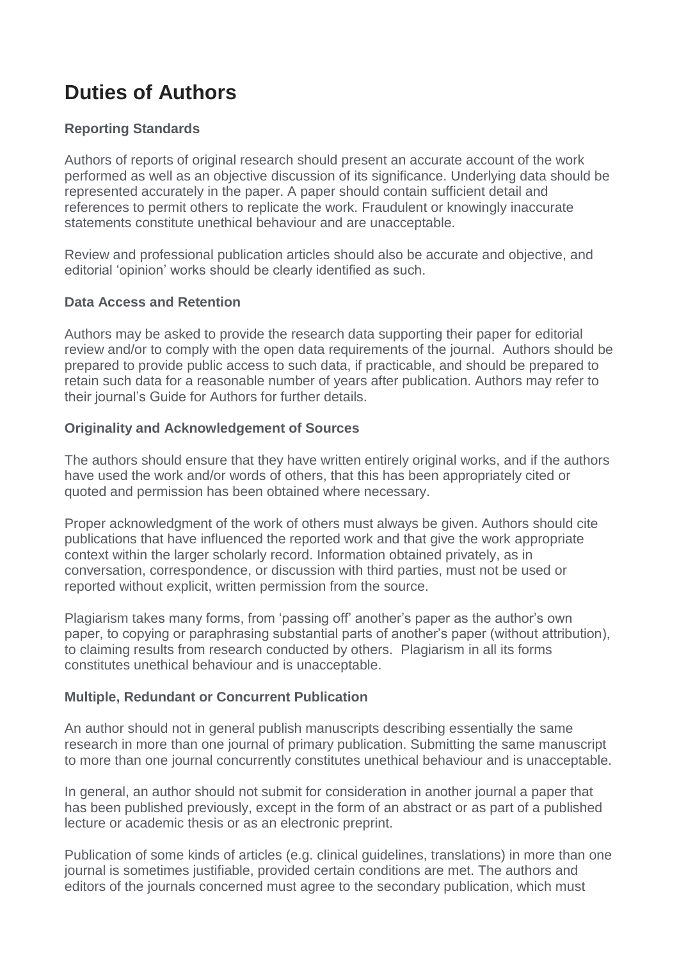# **Duties of Authors**

### **Reporting Standards**

Authors of reports of original research should present an accurate account of the work performed as well as an objective discussion of its significance. Underlying data should be represented accurately in the paper. A paper should contain sufficient detail and references to permit others to replicate the work. Fraudulent or knowingly inaccurate statements constitute unethical behaviour and are unacceptable.

Review and professional publication articles should also be accurate and objective, and editorial 'opinion' works should be clearly identified as such.

### **Data Access and Retention**

Authors may be asked to provide the research data supporting their paper for editorial review and/or to comply with the open data requirements of the journal. Authors should be prepared to provide public access to such data, if practicable, and should be prepared to retain such data for a reasonable number of years after publication. Authors may refer to their journal's Guide for Authors for further details.

### **Originality and Acknowledgement of Sources**

The authors should ensure that they have written entirely original works, and if the authors have used the work and/or words of others, that this has been appropriately cited or quoted and permission has been obtained where necessary.

Proper acknowledgment of the work of others must always be given. Authors should cite publications that have influenced the reported work and that give the work appropriate context within the larger scholarly record. Information obtained privately, as in conversation, correspondence, or discussion with third parties, must not be used or reported without explicit, written permission from the source.

Plagiarism takes many forms, from 'passing off' another's paper as the author's own paper, to copying or paraphrasing substantial parts of another's paper (without attribution), to claiming results from research conducted by others. Plagiarism in all its forms constitutes unethical behaviour and is unacceptable.

### **Multiple, Redundant or Concurrent Publication**

An author should not in general publish manuscripts describing essentially the same research in more than one journal of primary publication. Submitting the same manuscript to more than one journal concurrently constitutes unethical behaviour and is unacceptable.

In general, an author should not submit for consideration in another journal a paper that has been published previously, except in the form of an abstract or as part of a published lecture or academic thesis or as an electronic preprint.

Publication of some kinds of articles (e.g. clinical guidelines, translations) in more than one journal is sometimes justifiable, provided certain conditions are met. The authors and editors of the journals concerned must agree to the secondary publication, which must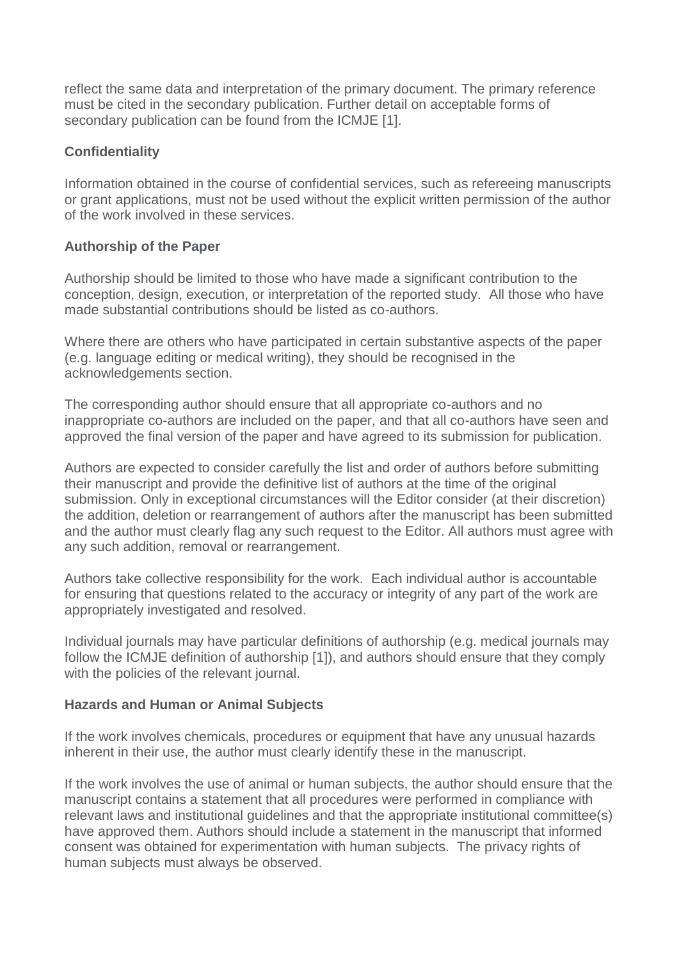reflect the same data and interpretation of the primary document. The primary reference must be cited in the secondary publication. Further detail on acceptable forms of secondary publication can be found from the ICMJE [1].

### **Confidentiality**

Information obtained in the course of confidential services, such as refereeing manuscripts or grant applications, must not be used without the explicit written permission of the author of the work involved in these services.

### **Authorship of the Paper**

Authorship should be limited to those who have made a significant contribution to the conception, design, execution, or interpretation of the reported study. All those who have made substantial contributions should be listed as co-authors.

Where there are others who have participated in certain substantive aspects of the paper (e.g. language editing or medical writing), they should be recognised in the acknowledgements section.

The corresponding author should ensure that all appropriate co-authors and no inappropriate co-authors are included on the paper, and that all co-authors have seen and approved the final version of the paper and have agreed to its submission for publication.

Authors are expected to consider carefully the list and order of authors before submitting their manuscript and provide the definitive list of authors at the time of the original submission. Only in exceptional circumstances will the Editor consider (at their discretion) the addition, deletion or rearrangement of authors after the manuscript has been submitted and the author must clearly flag any such request to the Editor. All authors must agree with any such addition, removal or rearrangement.

Authors take collective responsibility for the work. Each individual author is accountable for ensuring that questions related to the accuracy or integrity of any part of the work are appropriately investigated and resolved.

Individual journals may have particular definitions of authorship (e.g. medical journals may follow the ICMJE definition of authorship [1]), and authors should ensure that they comply with the policies of the relevant journal.

### **Hazards and Human or Animal Subjects**

If the work involves chemicals, procedures or equipment that have any unusual hazards inherent in their use, the author must clearly identify these in the manuscript.

If the work involves the use of animal or human subjects, the author should ensure that the manuscript contains a statement that all procedures were performed in compliance with relevant laws and institutional guidelines and that the appropriate institutional committee(s) have approved them. Authors should include a statement in the manuscript that informed consent was obtained for experimentation with human subjects. The privacy rights of human subjects must always be observed.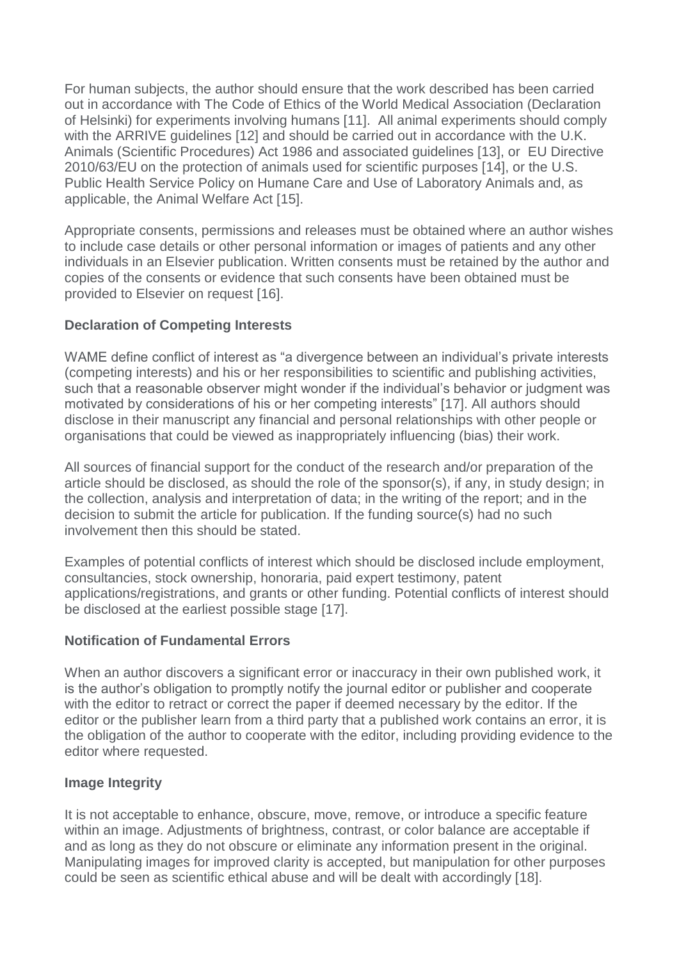For human subjects, the author should ensure that the work described has been carried out in accordance with The Code of Ethics of the World Medical Association (Declaration of Helsinki) for experiments involving humans [11]. All animal experiments should comply with the ARRIVE guidelines [12] and should be carried out in accordance with the U.K. Animals (Scientific Procedures) Act 1986 and associated guidelines [13], or EU Directive 2010/63/EU on the protection of animals used for scientific purposes [14], or the U.S. Public Health Service Policy on Humane Care and Use of Laboratory Animals and, as applicable, the Animal Welfare Act [15].

Appropriate consents, permissions and releases must be obtained where an author wishes to include case details or other personal information or images of patients and any other individuals in an Elsevier publication. Written consents must be retained by the author and copies of the consents or evidence that such consents have been obtained must be provided to Elsevier on request [16].

### **Declaration of Competing Interests**

WAME define conflict of interest as "a divergence between an individual's private interests (competing interests) and his or her responsibilities to scientific and publishing activities, such that a reasonable observer might wonder if the individual's behavior or judgment was motivated by considerations of his or her competing interests" [17]. All authors should disclose in their manuscript any financial and personal relationships with other people or organisations that could be viewed as inappropriately influencing (bias) their work.

All sources of financial support for the conduct of the research and/or preparation of the article should be disclosed, as should the role of the sponsor(s), if any, in study design; in the collection, analysis and interpretation of data; in the writing of the report; and in the decision to submit the article for publication. If the funding source(s) had no such involvement then this should be stated.

Examples of potential conflicts of interest which should be disclosed include employment, consultancies, stock ownership, honoraria, paid expert testimony, patent applications/registrations, and grants or other funding. Potential conflicts of interest should be disclosed at the earliest possible stage [17].

### **Notification of Fundamental Errors**

When an author discovers a significant error or inaccuracy in their own published work, it is the author's obligation to promptly notify the journal editor or publisher and cooperate with the editor to retract or correct the paper if deemed necessary by the editor. If the editor or the publisher learn from a third party that a published work contains an error, it is the obligation of the author to cooperate with the editor, including providing evidence to the editor where requested.

### **Image Integrity**

It is not acceptable to enhance, obscure, move, remove, or introduce a specific feature within an image. Adjustments of brightness, contrast, or color balance are acceptable if and as long as they do not obscure or eliminate any information present in the original. Manipulating images for improved clarity is accepted, but manipulation for other purposes could be seen as scientific ethical abuse and will be dealt with accordingly [18].